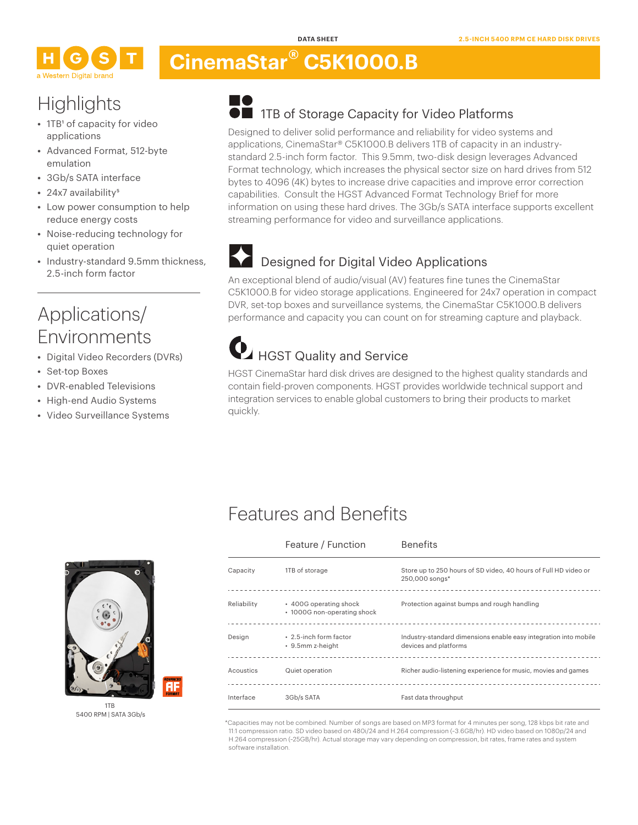# **CinemaStar® C5K1000.B**

# **Highlights**

- 1TB<sup>1</sup> of capacity for video applications
- **•** Advanced Format, 512-byte emulation
- **•** 3Gb/s SATA interface
- 24x7 availability<sup>5</sup>
- **•** Low power consumption to help reduce energy costs
- **•** Noise-reducing technology for quiet operation
- **•** Industry-standard 9.5mm thickness, 2.5-inch form factor

## Applications/ Environments

- **•** Digital Video Recorders (DVRs)
- **•** Set-top Boxes
- **•** DVR-enabled Televisions
- **•** High-end Audio Systems
- **•** Video Surveillance Systems

### **TO IFFELD** 1TB of Storage Capacity for Video Platforms

Designed to deliver solid performance and reliability for video systems and applications, CinemaStar® C5K1000.B delivers 1TB of capacity in an industrystandard 2.5-inch form factor. This 9.5mm, two-disk design leverages Advanced Format technology, which increases the physical sector size on hard drives from 512 bytes to 4096 (4K) bytes to increase drive capacities and improve error correction capabilities. Consult the HGST Advanced Format Technology Brief for more information on using these hard drives. The 3Gb/s SATA interface supports excellent streaming performance for video and surveillance applications.

## Designed for Digital Video Applications

An exceptional blend of audio/visual (AV) features fine tunes the CinemaStar C5K1000.B for video storage applications. Engineered for 24x7 operation in compact DVR, set-top boxes and surveillance systems, the CinemaStar C5K1000.B delivers performance and capacity you can count on for streaming capture and playback.

# HGST Quality and Service

HGST CinemaStar hard disk drives are designed to the highest quality standards and contain field-proven components. HGST provides worldwide technical support and integration services to enable global customers to bring their products to market quickly.

# Features and Benefits

Feature / Function Benefits



1TB 5400 RPM | SATA 3Gb/s

Ŧ

| Capacity    | 1TB of storage                                        | Store up to 250 hours of SD video, 40 hours of Full HD video or<br>250,000 songs*         |
|-------------|-------------------------------------------------------|-------------------------------------------------------------------------------------------|
| Reliability | • 400G operating shock<br>• 1000G non-operating shock | Protection against bumps and rough handling                                               |
| Design      | • 2.5-inch form factor<br>• 9.5mm z-height            | Industry-standard dimensions enable easy integration into mobile<br>devices and platforms |
| Acoustics   | Quiet operation                                       | Richer audio-listening experience for music, movies and games                             |
| Interface   | 3Gb/s SATA                                            | Fast data throughput                                                                      |

\*Capacities may not be combined. Number of songs are based on MP3 format for 4 minutes per song, 128 kbps bit rate and 11:1 compression ratio. SD video based on 480i/24 and H.264 compression (~3.6GB/hr). HD video based on 1080p/24 and H.264 compression (~25GB/hr). Actual storage may vary depending on compression, bit rates, frame rates and system software installation.